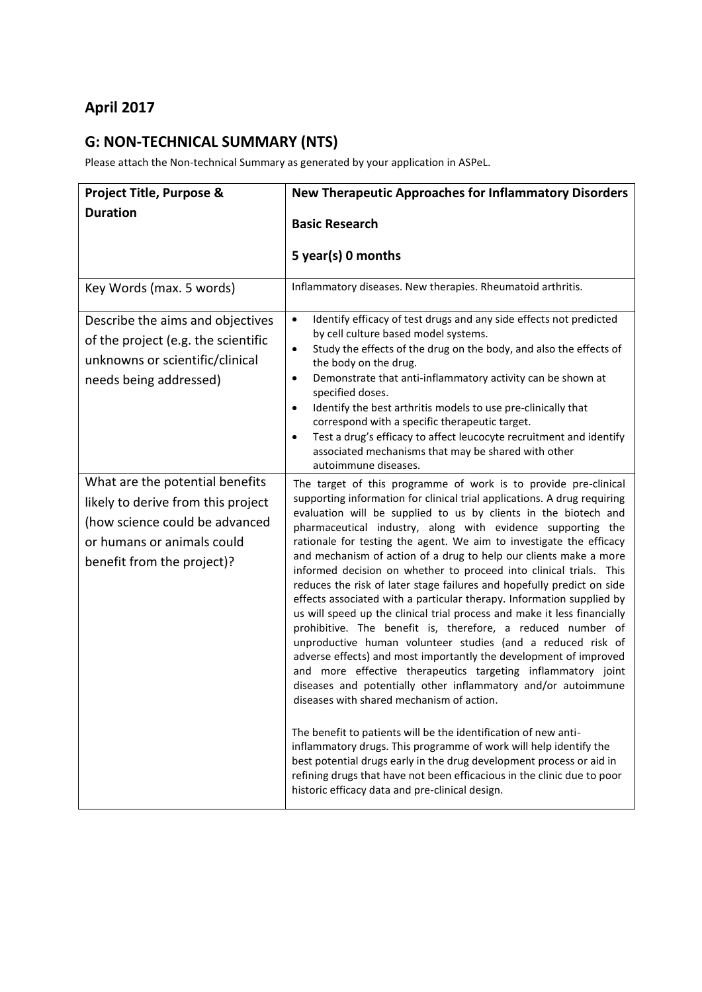## **April 2017**

## **G: NON-TECHNICAL SUMMARY (NTS)**

Please attach the Non-technical Summary as generated by your application in ASPeL.

| Project Title, Purpose &                                                                                                                                            | <b>New Therapeutic Approaches for Inflammatory Disorders</b>                                                                                                                                                                                                                                                                                                                                                                                                                                                                                                                                                                                                                                                                                                                                                                                                                                                                                                                                                                                                                                                                                                                                                                                                                                                                                                                                                                                                  |
|---------------------------------------------------------------------------------------------------------------------------------------------------------------------|---------------------------------------------------------------------------------------------------------------------------------------------------------------------------------------------------------------------------------------------------------------------------------------------------------------------------------------------------------------------------------------------------------------------------------------------------------------------------------------------------------------------------------------------------------------------------------------------------------------------------------------------------------------------------------------------------------------------------------------------------------------------------------------------------------------------------------------------------------------------------------------------------------------------------------------------------------------------------------------------------------------------------------------------------------------------------------------------------------------------------------------------------------------------------------------------------------------------------------------------------------------------------------------------------------------------------------------------------------------------------------------------------------------------------------------------------------------|
| <b>Duration</b>                                                                                                                                                     | <b>Basic Research</b>                                                                                                                                                                                                                                                                                                                                                                                                                                                                                                                                                                                                                                                                                                                                                                                                                                                                                                                                                                                                                                                                                                                                                                                                                                                                                                                                                                                                                                         |
|                                                                                                                                                                     | 5 year(s) 0 months                                                                                                                                                                                                                                                                                                                                                                                                                                                                                                                                                                                                                                                                                                                                                                                                                                                                                                                                                                                                                                                                                                                                                                                                                                                                                                                                                                                                                                            |
| Key Words (max. 5 words)                                                                                                                                            | Inflammatory diseases. New therapies. Rheumatoid arthritis.                                                                                                                                                                                                                                                                                                                                                                                                                                                                                                                                                                                                                                                                                                                                                                                                                                                                                                                                                                                                                                                                                                                                                                                                                                                                                                                                                                                                   |
| Describe the aims and objectives<br>of the project (e.g. the scientific<br>unknowns or scientific/clinical<br>needs being addressed)                                | Identify efficacy of test drugs and any side effects not predicted<br>$\bullet$<br>by cell culture based model systems.<br>Study the effects of the drug on the body, and also the effects of<br>$\bullet$<br>the body on the drug.<br>Demonstrate that anti-inflammatory activity can be shown at<br>$\bullet$<br>specified doses.<br>Identify the best arthritis models to use pre-clinically that<br>$\bullet$<br>correspond with a specific therapeutic target.<br>Test a drug's efficacy to affect leucocyte recruitment and identify<br>$\bullet$<br>associated mechanisms that may be shared with other<br>autoimmune diseases.                                                                                                                                                                                                                                                                                                                                                                                                                                                                                                                                                                                                                                                                                                                                                                                                                        |
| What are the potential benefits<br>likely to derive from this project<br>(how science could be advanced<br>or humans or animals could<br>benefit from the project)? | The target of this programme of work is to provide pre-clinical<br>supporting information for clinical trial applications. A drug requiring<br>evaluation will be supplied to us by clients in the biotech and<br>pharmaceutical industry, along with evidence supporting the<br>rationale for testing the agent. We aim to investigate the efficacy<br>and mechanism of action of a drug to help our clients make a more<br>informed decision on whether to proceed into clinical trials. This<br>reduces the risk of later stage failures and hopefully predict on side<br>effects associated with a particular therapy. Information supplied by<br>us will speed up the clinical trial process and make it less financially<br>prohibitive. The benefit is, therefore, a reduced number of<br>unproductive human volunteer studies (and a reduced risk of<br>adverse effects) and most importantly the development of improved<br>and more effective therapeutics targeting inflammatory joint<br>diseases and potentially other inflammatory and/or autoimmune<br>diseases with shared mechanism of action.<br>The benefit to patients will be the identification of new anti-<br>inflammatory drugs. This programme of work will help identify the<br>best potential drugs early in the drug development process or aid in<br>refining drugs that have not been efficacious in the clinic due to poor<br>historic efficacy data and pre-clinical design. |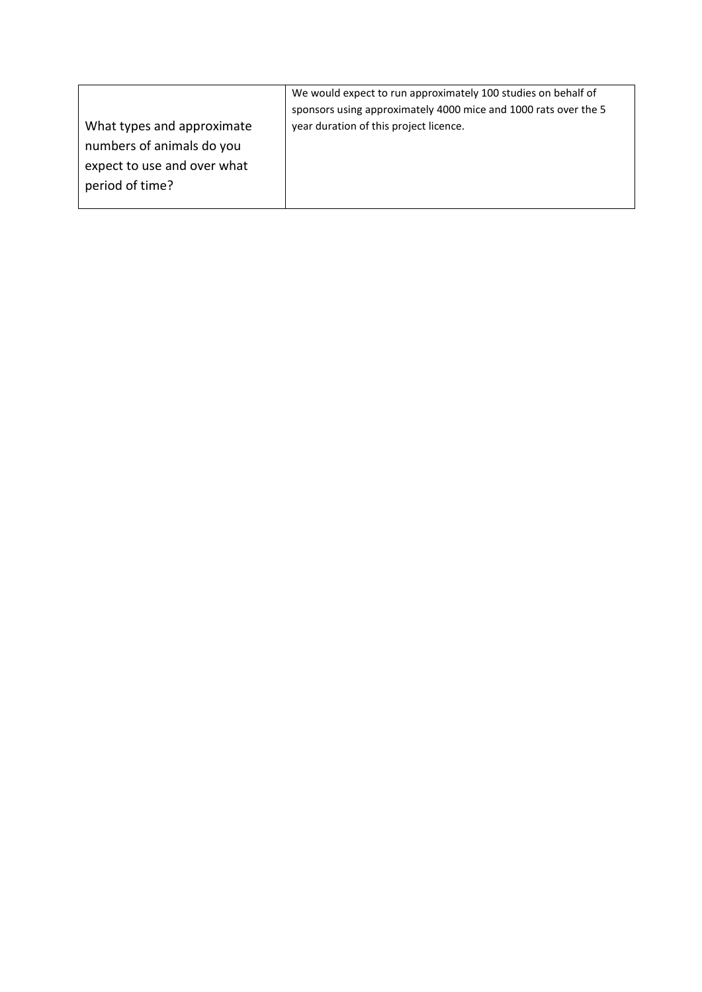|                             | We would expect to run approximately 100 studies on behalf of   |
|-----------------------------|-----------------------------------------------------------------|
|                             | sponsors using approximately 4000 mice and 1000 rats over the 5 |
| What types and approximate  | year duration of this project licence.                          |
| numbers of animals do you   |                                                                 |
| expect to use and over what |                                                                 |
| period of time?             |                                                                 |
|                             |                                                                 |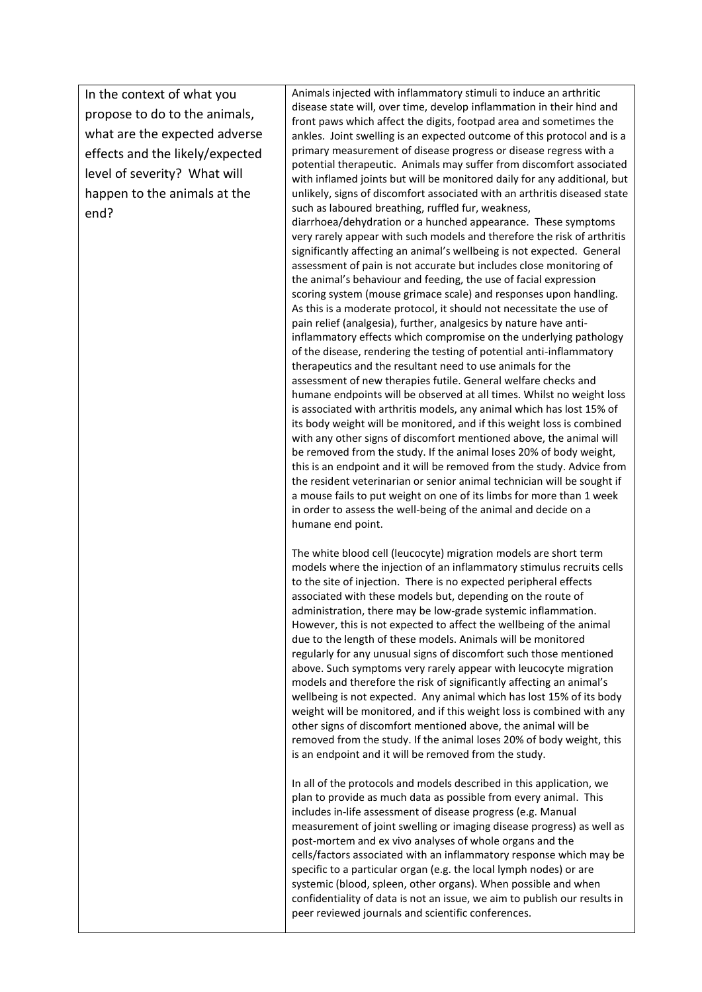In the context of what you propose to do to the animals, what are the expected adverse effects and the likely/expected level of severity? What will happen to the animals at the end?

Animals injected with inflammatory stimuli to induce an arthritic disease state will, over time, develop inflammation in their hind and front paws which affect the digits, footpad area and sometimes the ankles. Joint swelling is an expected outcome of this protocol and is a primary measurement of disease progress or disease regress with a potential therapeutic. Animals may suffer from discomfort associated with inflamed joints but will be monitored daily for any additional, but unlikely, signs of discomfort associated with an arthritis diseased state such as laboured breathing, ruffled fur, weakness, diarrhoea/dehydration or a hunched appearance. These symptoms very rarely appear with such models and therefore the risk of arthritis significantly affecting an animal's wellbeing is not expected. General assessment of pain is not accurate but includes close monitoring of the animal's behaviour and feeding, the use of facial expression scoring system (mouse grimace scale) and responses upon handling. As this is a moderate protocol, it should not necessitate the use of pain relief (analgesia), further, analgesics by nature have antiinflammatory effects which compromise on the underlying pathology of the disease, rendering the testing of potential anti-inflammatory therapeutics and the resultant need to use animals for the assessment of new therapies futile. General welfare checks and humane endpoints will be observed at all times. Whilst no weight loss is associated with arthritis models, any animal which has lost 15% of its body weight will be monitored, and if this weight loss is combined with any other signs of discomfort mentioned above, the animal will be removed from the study. If the animal loses 20% of body weight, this is an endpoint and it will be removed from the study. Advice from the resident veterinarian or senior animal technician will be sought if a mouse fails to put weight on one of its limbs for more than 1 week in order to assess the well-being of the animal and decide on a humane end point.

The white blood cell (leucocyte) migration models are short term models where the injection of an inflammatory stimulus recruits cells to the site of injection. There is no expected peripheral effects associated with these models but, depending on the route of administration, there may be low-grade systemic inflammation. However, this is not expected to affect the wellbeing of the animal due to the length of these models. Animals will be monitored regularly for any unusual signs of discomfort such those mentioned above. Such symptoms very rarely appear with leucocyte migration models and therefore the risk of significantly affecting an animal's wellbeing is not expected. Any animal which has lost 15% of its body weight will be monitored, and if this weight loss is combined with any other signs of discomfort mentioned above, the animal will be removed from the study. If the animal loses 20% of body weight, this is an endpoint and it will be removed from the study.

In all of the protocols and models described in this application, we plan to provide as much data as possible from every animal. This includes in-life assessment of disease progress (e.g. Manual measurement of joint swelling or imaging disease progress) as well as post-mortem and ex vivo analyses of whole organs and the cells/factors associated with an inflammatory response which may be specific to a particular organ (e.g. the local lymph nodes) or are systemic (blood, spleen, other organs). When possible and when confidentiality of data is not an issue, we aim to publish our results in peer reviewed journals and scientific conferences.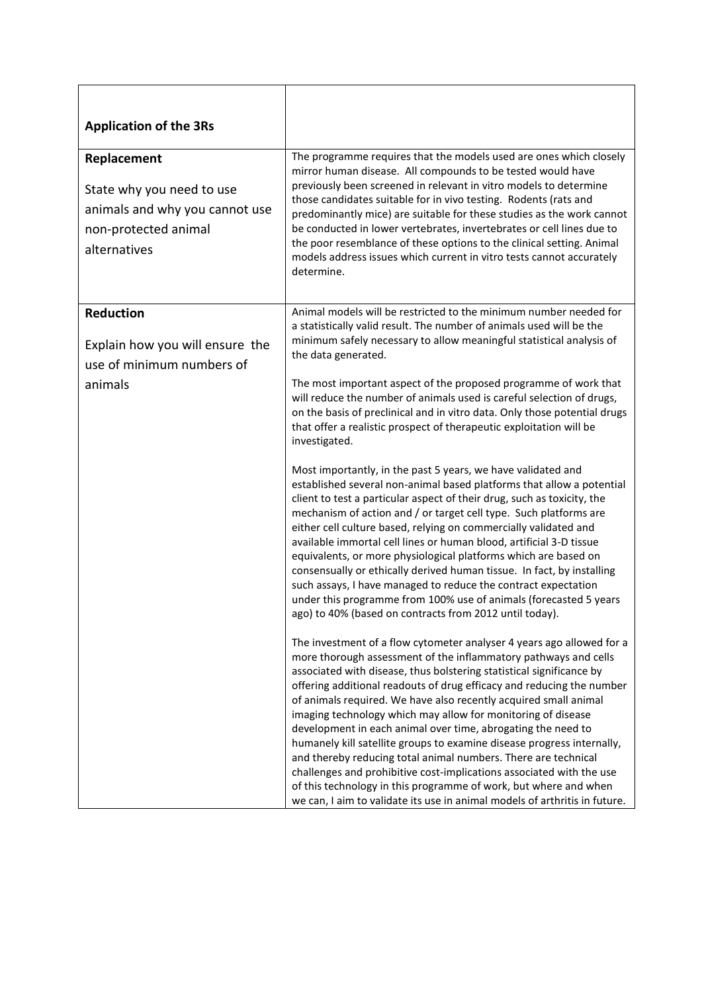| <b>Application of the 3Rs</b>                                                                                      |                                                                                                                                                                                                                                                                                                                                                                                                                                                                                                                                                                                                                                                                                                                                                                                                                                                                     |
|--------------------------------------------------------------------------------------------------------------------|---------------------------------------------------------------------------------------------------------------------------------------------------------------------------------------------------------------------------------------------------------------------------------------------------------------------------------------------------------------------------------------------------------------------------------------------------------------------------------------------------------------------------------------------------------------------------------------------------------------------------------------------------------------------------------------------------------------------------------------------------------------------------------------------------------------------------------------------------------------------|
| Replacement<br>State why you need to use<br>animals and why you cannot use<br>non-protected animal<br>alternatives | The programme requires that the models used are ones which closely<br>mirror human disease. All compounds to be tested would have<br>previously been screened in relevant in vitro models to determine<br>those candidates suitable for in vivo testing. Rodents (rats and<br>predominantly mice) are suitable for these studies as the work cannot<br>be conducted in lower vertebrates, invertebrates or cell lines due to<br>the poor resemblance of these options to the clinical setting. Animal<br>models address issues which current in vitro tests cannot accurately<br>determine.                                                                                                                                                                                                                                                                         |
| Reduction<br>Explain how you will ensure the<br>use of minimum numbers of<br>animals                               | Animal models will be restricted to the minimum number needed for<br>a statistically valid result. The number of animals used will be the<br>minimum safely necessary to allow meaningful statistical analysis of<br>the data generated.<br>The most important aspect of the proposed programme of work that<br>will reduce the number of animals used is careful selection of drugs,<br>on the basis of preclinical and in vitro data. Only those potential drugs<br>that offer a realistic prospect of therapeutic exploitation will be<br>investigated.                                                                                                                                                                                                                                                                                                          |
|                                                                                                                    | Most importantly, in the past 5 years, we have validated and<br>established several non-animal based platforms that allow a potential<br>client to test a particular aspect of their drug, such as toxicity, the<br>mechanism of action and / or target cell type. Such platforms are<br>either cell culture based, relying on commercially validated and<br>available immortal cell lines or human blood, artificial 3-D tissue<br>equivalents, or more physiological platforms which are based on<br>consensually or ethically derived human tissue. In fact, by installing<br>such assays, I have managed to reduce the contract expectation<br>under this programme from 100% use of animals (forecasted 5 years<br>ago) to 40% (based on contracts from 2012 until today).                                                                                     |
|                                                                                                                    | The investment of a flow cytometer analyser 4 years ago allowed for a<br>more thorough assessment of the inflammatory pathways and cells<br>associated with disease, thus bolstering statistical significance by<br>offering additional readouts of drug efficacy and reducing the number<br>of animals required. We have also recently acquired small animal<br>imaging technology which may allow for monitoring of disease<br>development in each animal over time, abrogating the need to<br>humanely kill satellite groups to examine disease progress internally,<br>and thereby reducing total animal numbers. There are technical<br>challenges and prohibitive cost-implications associated with the use<br>of this technology in this programme of work, but where and when<br>we can, I aim to validate its use in animal models of arthritis in future. |